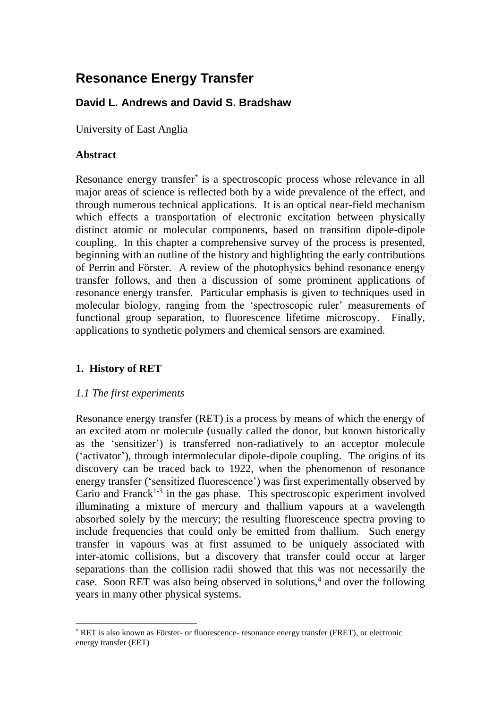# **Resonance Energy Transfer**

# **David L. Andrews and David S. Bradshaw**

University of East Anglia

# **Abstract**

Resonance energy transfer\* is a spectroscopic process whose relevance in all major areas of science is reflected both by a wide prevalence of the effect, and through numerous technical applications. It is an optical near-field mechanism which effects a transportation of electronic excitation between physically distinct atomic or molecular components, based on transition dipole-dipole coupling. In this chapter a comprehensive survey of the process is presented, beginning with an outline of the history and highlighting the early contributions of Perrin and Förster. A review of the photophysics behind resonance energy transfer follows, and then a discussion of some prominent applications of resonance energy transfer. Particular emphasis is given to techniques used in molecular biology, ranging from the 'spectroscopic ruler' measurements of functional group separation, to fluorescence lifetime microscopy. Finally, applications to synthetic polymers and chemical sensors are examined.

# **1. History of RET**

### *1.1 The first experiments*

Resonance energy transfer (RET) is a process by means of which the energy of an excited atom or molecule (usually called the donor, but known historically as the 'sensitizer') is transferred non-radiatively to an acceptor molecule ('activator'), through intermolecular dipole-dipole coupling. The origins of its discovery can be traced back to 1922, when the phenomenon of resonance energy transfer ('sensitized fluorescence') was first experimentally observed by Cario and Franck<sup>1-3</sup> in the gas phase. This spectroscopic experiment involved illuminating a mixture of mercury and thallium vapours at a wavelength absorbed solely by the mercury; the resulting fluorescence spectra proving to include frequencies that could only be emitted from thallium. Such energy transfer in vapours was at first assumed to be uniquely associated with inter-atomic collisions, but a discovery that transfer could occur at larger separations than the collision radii showed that this was not necessarily the case. Soon RET was also being observed in solutions,<sup>4</sup> and over the following years in many other physical systems.

<sup>1</sup> \* RET is also known as Förster- or fluorescence- resonance energy transfer (FRET), or electronic energy transfer (EET)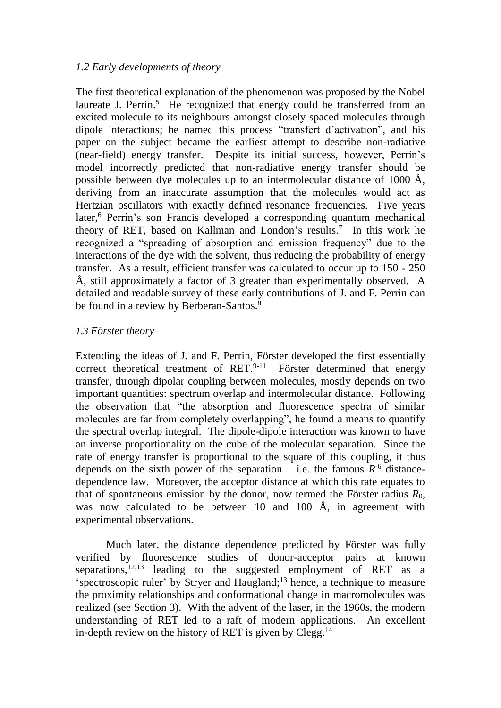### *1.2 Early developments of theory*

The first theoretical explanation of the phenomenon was proposed by the Nobel laureate J. Perrin.<sup>5</sup> He recognized that energy could be transferred from an excited molecule to its neighbours amongst closely spaced molecules through dipole interactions; he named this process "transfert d'activation", and his paper on the subject became the earliest attempt to describe non-radiative (near-field) energy transfer. Despite its initial success, however, Perrin's model incorrectly predicted that non-radiative energy transfer should be possible between dye molecules up to an intermolecular distance of 1000 Å, deriving from an inaccurate assumption that the molecules would act as Hertzian oscillators with exactly defined resonance frequencies. Five years later,<sup>6</sup> Perrin's son Francis developed a corresponding quantum mechanical theory of RET, based on Kallman and London's results.<sup>7</sup> In this work he recognized a "spreading of absorption and emission frequency" due to the interactions of the dye with the solvent, thus reducing the probability of energy transfer. As a result, efficient transfer was calculated to occur up to 150 - 250 Å, still approximately a factor of 3 greater than experimentally observed. A detailed and readable survey of these early contributions of J. and F. Perrin can be found in a review by Berberan-Santos.<sup>8</sup>

### *1.3 Förster theory*

Extending the ideas of J. and F. Perrin, Förster developed the first essentially correct theoretical treatment of  $RET^{9-11}$  Förster determined that energy transfer, through dipolar coupling between molecules, mostly depends on two important quantities: spectrum overlap and intermolecular distance. Following the observation that "the absorption and fluorescence spectra of similar molecules are far from completely overlapping", he found a means to quantify the spectral overlap integral. The dipole-dipole interaction was known to have an inverse proportionality on the cube of the molecular separation. Since the rate of energy transfer is proportional to the square of this coupling, it thus depends on the sixth power of the separation – i.e. the famous  $R^{-6}$  distancedependence law. Moreover, the acceptor distance at which this rate equates to that of spontaneous emission by the donor, now termed the Förster radius  $R_0$ , was now calculated to be between 10 and 100 Å, in agreement with experimental observations.

Much later, the distance dependence predicted by Förster was fully verified by fluorescence studies of donor-acceptor pairs at known separations,  $12,13$  leading to the suggested employment of RET as a 'spectroscopic ruler' by Stryer and Haugland;<sup>13</sup> hence, a technique to measure the proximity relationships and conformational change in macromolecules was realized (see Section 3). With the advent of the laser, in the 1960s, the modern understanding of RET led to a raft of modern applications. An excellent in-depth review on the history of RET is given by  $C \leq 14$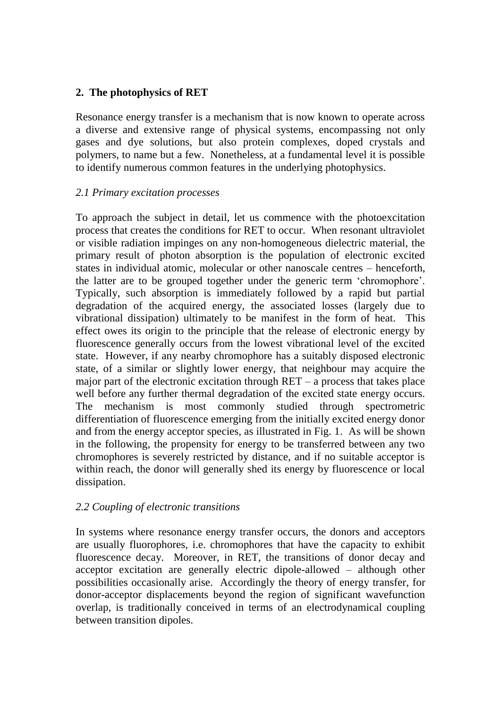# **2. The photophysics of RET**

Resonance energy transfer is a mechanism that is now known to operate across a diverse and extensive range of physical systems, encompassing not only gases and dye solutions, but also protein complexes, doped crystals and polymers, to name but a few. Nonetheless, at a fundamental level it is possible to identify numerous common features in the underlying photophysics.

### *2.1 Primary excitation processes*

To approach the subject in detail, let us commence with the photoexcitation process that creates the conditions for RET to occur. When resonant ultraviolet or visible radiation impinges on any non-homogeneous dielectric material, the primary result of photon absorption is the population of electronic excited states in individual atomic, molecular or other nanoscale centres – henceforth, the latter are to be grouped together under the generic term 'chromophore'. Typically, such absorption is immediately followed by a rapid but partial degradation of the acquired energy, the associated losses (largely due to vibrational dissipation) ultimately to be manifest in the form of heat. This effect owes its origin to the principle that the release of electronic energy by fluorescence generally occurs from the lowest vibrational level of the excited state. However, if any nearby chromophore has a suitably disposed electronic state, of a similar or slightly lower energy, that neighbour may acquire the major part of the electronic excitation through  $RET - a$  process that takes place well before any further thermal degradation of the excited state energy occurs. The mechanism is most commonly studied through spectrometric differentiation of fluorescence emerging from the initially excited energy donor and from the energy acceptor species, as illustrated in Fig. 1. As will be shown in the following, the propensity for energy to be transferred between any two chromophores is severely restricted by distance, and if no suitable acceptor is within reach, the donor will generally shed its energy by fluorescence or local dissipation.

### *2.2 Coupling of electronic transitions*

In systems where resonance energy transfer occurs, the donors and acceptors are usually fluorophores, i.e. chromophores that have the capacity to exhibit fluorescence decay. Moreover, in RET, the transitions of donor decay and acceptor excitation are generally electric dipole-allowed – although other possibilities occasionally arise. Accordingly the theory of energy transfer, for donor-acceptor displacements beyond the region of significant wavefunction overlap, is traditionally conceived in terms of an electrodynamical coupling between transition dipoles.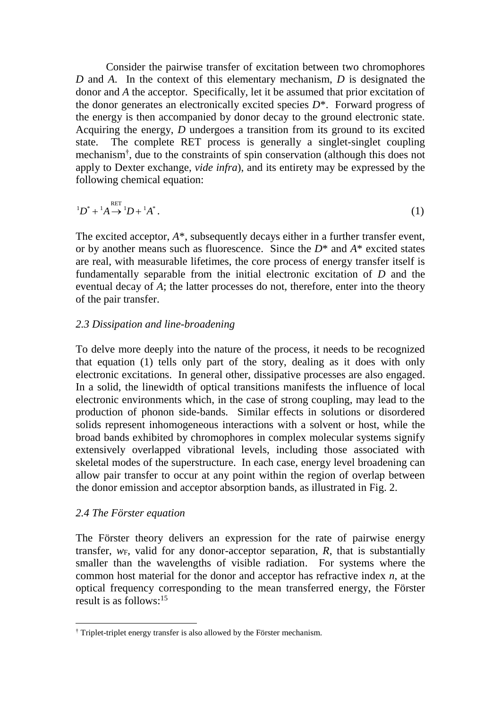Consider the pairwise transfer of excitation between two chromophores *D* and *A*. In the context of this elementary mechanism, *D* is designated the donor and *A* the acceptor. Specifically, let it be assumed that prior excitation of the donor generates an electronically excited species *D*\*. Forward progress of the energy is then accompanied by donor decay to the ground electronic state. Acquiring the energy, *D* undergoes a transition from its ground to its excited state. The complete RET process is generally a singlet-singlet coupling mechanism† , due to the constraints of spin conservation (although this does not apply to Dexter exchange, *vide infra*), and its entirety may be expressed by the following chemical equation:

$$
{}^{1}D^* + {}^{1}A \xrightarrow{RET} {}^{1}D + {}^{1}A^* \, . \tag{1}
$$

The excited acceptor, *A*\*, subsequently decays either in a further transfer event, or by another means such as fluorescence. Since the *D*\* and *A*\* excited states are real, with measurable lifetimes, the core process of energy transfer itself is fundamentally separable from the initial electronic excitation of *D* and the eventual decay of *A*; the latter processes do not, therefore, enter into the theory of the pair transfer.

#### *2.3 Dissipation and line-broadening*

To delve more deeply into the nature of the process, it needs to be recognized that equation (1) tells only part of the story, dealing as it does with only electronic excitations. In general other, dissipative processes are also engaged. In a solid, the linewidth of optical transitions manifests the influence of local electronic environments which, in the case of strong coupling, may lead to the production of phonon side-bands. Similar effects in solutions or disordered solids represent inhomogeneous interactions with a solvent or host, while the broad bands exhibited by chromophores in complex molecular systems signify extensively overlapped vibrational levels, including those associated with skeletal modes of the superstructure. In each case, energy level broadening can allow pair transfer to occur at any point within the region of overlap between the donor emission and acceptor absorption bands, as illustrated in Fig. 2.

#### *2.4 The Förster equation*

1

The Förster theory delivers an expression for the rate of pairwise energy transfer,  $w_F$ , valid for any donor-acceptor separation,  $R$ , that is substantially smaller than the wavelengths of visible radiation. For systems where the common host material for the donor and acceptor has refractive index *n*, at the optical frequency corresponding to the mean transferred energy, the Förster result is as follows: 15

<sup>†</sup> Triplet-triplet energy transfer is also allowed by the Förster mechanism.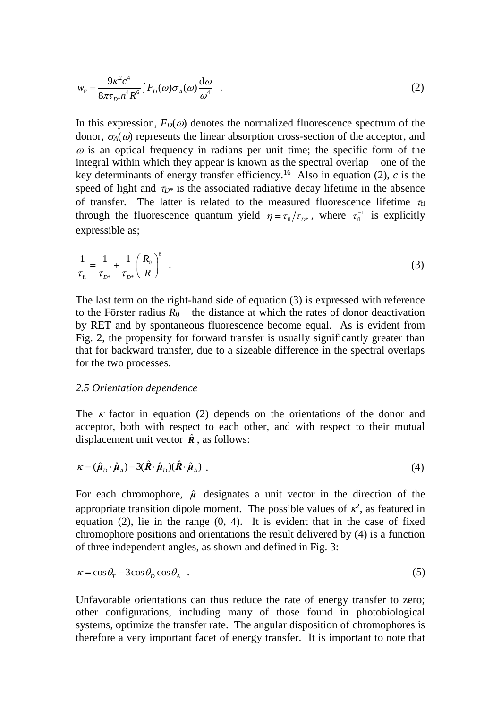$$
w_{\rm F} = \frac{9\kappa^2 c^4}{8\pi \tau_{D^*} n^4 R^6} \int F_D(\omega) \sigma_A(\omega) \frac{\mathrm{d}\omega}{\omega^4} \quad . \tag{2}
$$

In this expression,  $F_D(\omega)$  denotes the normalized fluorescence spectrum of the donor,  $\sigma_A(\omega)$  represents the linear absorption cross-section of the acceptor, and  $\omega$  is an optical frequency in radians per unit time; the specific form of the integral within which they appear is known as the spectral overlap – one of the key determinants of energy transfer efficiency.<sup>16</sup> Also in equation  $(2)$ , *c* is the speed of light and  $\tau_{D^*}$  is the associated radiative decay lifetime in the absence of transfer. The latter is related to the measured fluorescence lifetime  $\tau_{\text{fl}}$ through the fluorescence quantum yield  $\eta = \tau_{\text{fl}}/\tau_{D^*}$ , where  $\tau_{\text{fl}}^{-1}$  is explicitly expressible as;

$$
\frac{1}{\tau_{\rm n}} = \frac{1}{\tau_{D^*}} + \frac{1}{\tau_{D^*}} \left(\frac{R_0}{R}\right)^6 \quad . \tag{3}
$$

The last term on the right-hand side of equation (3) is expressed with reference to the Förster radius  $R_0$  – the distance at which the rates of donor deactivation by RET and by spontaneous fluorescence become equal. As is evident from Fig. 2, the propensity for forward transfer is usually significantly greater than that for backward transfer, due to a sizeable difference in the spectral overlaps for the two processes.

#### *2.5 Orientation dependence*

The  $\kappa$  factor in equation (2) depends on the orientations of the donor and acceptor, both with respect to each other, and with respect to their mutual displacement unit vector  $\hat{\mathbf{R}}$ , as follows:

$$
\kappa = (\hat{\mu}_D \cdot \hat{\mu}_A) - 3(\hat{\boldsymbol{R}} \cdot \hat{\boldsymbol{\mu}}_D)(\hat{\boldsymbol{R}} \cdot \hat{\boldsymbol{\mu}}_A) \tag{4}
$$

For each chromophore,  $\hat{\mu}$  designates a unit vector in the direction of the appropriate transition dipole moment. The possible values of  $\kappa^2$ , as featured in equation (2), lie in the range (0, 4). It is evident that in the case of fixed chromophore positions and orientations the result delivered by (4) is a function of three independent angles, as shown and defined in Fig. 3:

$$
\kappa = \cos \theta_{\rm r} - 3\cos \theta_{\rm p} \cos \theta_{\rm A} \quad . \tag{5}
$$

Unfavorable orientations can thus reduce the rate of energy transfer to zero; other configurations, including many of those found in photobiological systems, optimize the transfer rate. The angular disposition of chromophores is therefore a very important facet of energy transfer. It is important to note that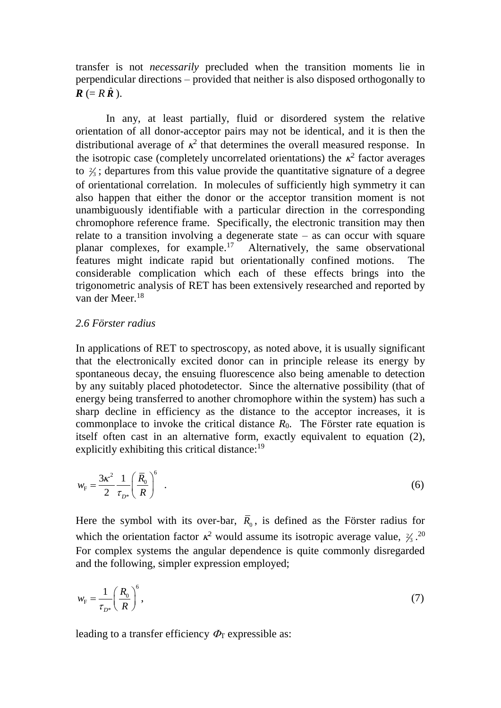transfer is not *necessarily* precluded when the transition moments lie in perpendicular directions – provided that neither is also disposed orthogonally to  $\boldsymbol{R}$  (=  $R \hat{\boldsymbol{R}}$  ).

In any, at least partially, fluid or disordered system the relative orientation of all donor-acceptor pairs may not be identical, and it is then the distributional average of  $\kappa^2$  that determines the overall measured response. In the isotropic case (completely uncorrelated orientations) the  $\kappa^2$  factor averages to  $\frac{2}{3}$ ; departures from this value provide the quantitative signature of a degree of orientational correlation. In molecules of sufficiently high symmetry it can also happen that either the donor or the acceptor transition moment is not unambiguously identifiable with a particular direction in the corresponding chromophore reference frame. Specifically, the electronic transition may then relate to a transition involving a degenerate state  $-$  as can occur with square planar complexes, for example.<sup>17</sup> Alternatively, the same observational features might indicate rapid but orientationally confined motions. The considerable complication which each of these effects brings into the trigonometric analysis of RET has been extensively researched and reported by van der Meer.<sup>18</sup>

#### *2.6 Förster radius*

In applications of RET to spectroscopy, as noted above, it is usually significant that the electronically excited donor can in principle release its energy by spontaneous decay, the ensuing fluorescence also being amenable to detection by any suitably placed photodetector. Since the alternative possibility (that of energy being transferred to another chromophore within the system) has such a sharp decline in efficiency as the distance to the acceptor increases, it is commonplace to invoke the critical distance  $R_0$ . The Förster rate equation is itself often cast in an alternative form, exactly equivalent to equation (2), explicitly exhibiting this critical distance:<sup>19</sup>

$$
w_{\rm F} = \frac{3\kappa^2}{2} \frac{1}{\tau_{D^*}} \left(\frac{\overline{R}_0}{R}\right)^6 \tag{6}
$$

Here the symbol with its over-bar,  $\bar{R}_0$ , is defined as the Förster radius for which the orientation factor  $\kappa^2$  would assume its isotropic average value,  $\frac{2}{3}$ .<sup>20</sup> For complex systems the angular dependence is quite commonly disregarded and the following, simpler expression employed;

$$
w_{\rm F} = \frac{1}{\tau_{D^*}} \left(\frac{R_0}{R}\right)^6,\tag{7}
$$

leading to a transfer efficiency  $\Phi_{\Gamma}$  expressible as: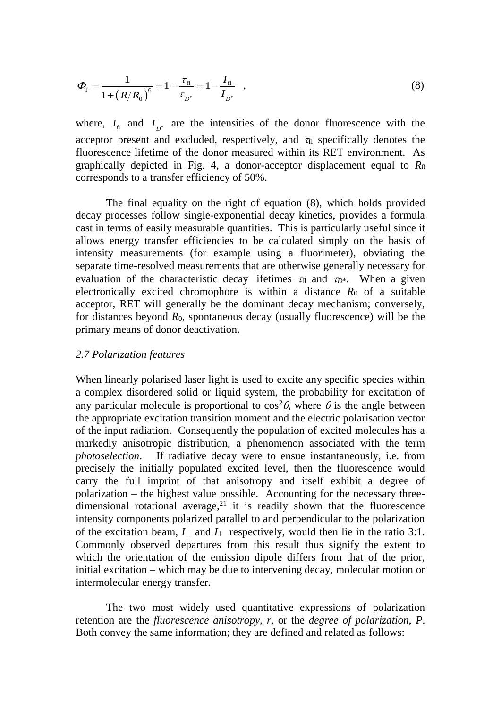$$
\Phi_{\rm T} = \frac{1}{1 + \left(R/R_0\right)^6} = 1 - \frac{\tau_{\rm fl}}{\tau_{D^*}} = 1 - \frac{I_{\rm fl}}{I_{D^*}} \quad , \tag{8}
$$

where,  $I_{\text{fl}}$  and  $I_{D^*}$  are the intensities of the donor fluorescence with the acceptor present and excluded, respectively, and  $\tau_{fl}$  specifically denotes the fluorescence lifetime of the donor measured within its RET environment. As graphically depicted in Fig. 4, a donor-acceptor displacement equal to *R*<sup>0</sup> corresponds to a transfer efficiency of 50%.

The final equality on the right of equation (8), which holds provided decay processes follow single-exponential decay kinetics, provides a formula cast in terms of easily measurable quantities. This is particularly useful since it allows energy transfer efficiencies to be calculated simply on the basis of intensity measurements (for example using a fluorimeter), obviating the separate time-resolved measurements that are otherwise generally necessary for evaluation of the characteristic decay lifetimes  $\tau_{fl}$  and  $\tau_{D^*}$ . When a given electronically excited chromophore is within a distance  $R_0$  of a suitable acceptor, RET will generally be the dominant decay mechanism; conversely, for distances beyond *R*0, spontaneous decay (usually fluorescence) will be the primary means of donor deactivation.

#### *2.7 Polarization features*

When linearly polarised laser light is used to excite any specific species within a complex disordered solid or liquid system, the probability for excitation of any particular molecule is proportional to  $\cos^2\theta$ , where  $\theta$  is the angle between the appropriate excitation transition moment and the electric polarisation vector of the input radiation. Consequently the population of excited molecules has a markedly anisotropic distribution, a phenomenon associated with the term *photoselection*. If radiative decay were to ensue instantaneously, i.e. from precisely the initially populated excited level, then the fluorescence would carry the full imprint of that anisotropy and itself exhibit a degree of polarization – the highest value possible. Accounting for the necessary threedimensional rotational average, $21$  it is readily shown that the fluorescence intensity components polarized parallel to and perpendicular to the polarization of the excitation beam,  $I_{\parallel}$  and  $I_{\perp}$  respectively, would then lie in the ratio 3:1. Commonly observed departures from this result thus signify the extent to which the orientation of the emission dipole differs from that of the prior, initial excitation – which may be due to intervening decay, molecular motion or intermolecular energy transfer.

The two most widely used quantitative expressions of polarization retention are the *fluorescence anisotropy*, *r*, or the *degree of polarization*, *P*. Both convey the same information; they are defined and related as follows: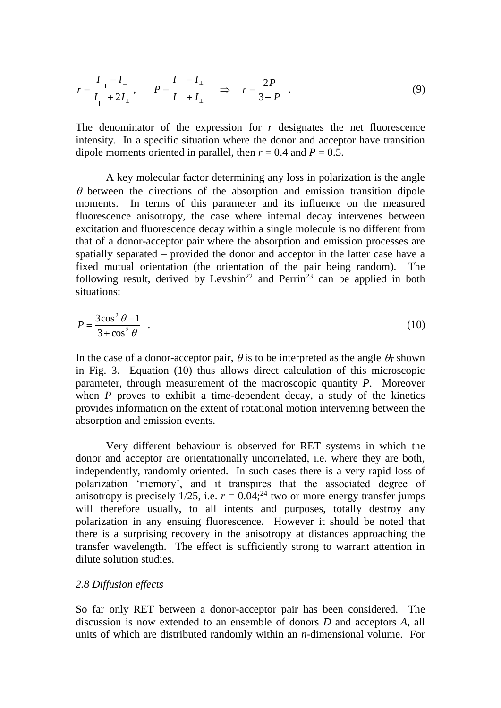$$
r = \frac{I_{\perp} - I_{\perp}}{I_{\perp} + 2I_{\perp}}, \qquad P = \frac{I_{\perp} - I_{\perp}}{I_{\perp} + I_{\perp}} \quad \Rightarrow \quad r = \frac{2P}{3 - P} \quad . \tag{9}
$$

The denominator of the expression for *r* designates the net fluorescence intensity. In a specific situation where the donor and acceptor have transition dipole moments oriented in parallel, then  $r = 0.4$  and  $P = 0.5$ .

A key molecular factor determining any loss in polarization is the angle  $\theta$  between the directions of the absorption and emission transition dipole moments. In terms of this parameter and its influence on the measured fluorescence anisotropy, the case where internal decay intervenes between excitation and fluorescence decay within a single molecule is no different from that of a donor-acceptor pair where the absorption and emission processes are spatially separated – provided the donor and acceptor in the latter case have a fixed mutual orientation (the orientation of the pair being random). The following result, derived by Levshin<sup>22</sup> and Perrin<sup>23</sup> can be applied in both situations:

$$
P = \frac{3\cos^2\theta - 1}{3 + \cos^2\theta} \quad . \tag{10}
$$

In the case of a donor-acceptor pair,  $\theta$  is to be interpreted as the angle  $\theta_T$  shown in Fig. 3. Equation (10) thus allows direct calculation of this microscopic parameter, through measurement of the macroscopic quantity *P*. Moreover when *P* proves to exhibit a time-dependent decay, a study of the kinetics provides information on the extent of rotational motion intervening between the absorption and emission events.

Very different behaviour is observed for RET systems in which the donor and acceptor are orientationally uncorrelated, i.e. where they are both, independently, randomly oriented. In such cases there is a very rapid loss of polarization 'memory', and it transpires that the associated degree of anisotropy is precisely  $1/25$ , i.e.  $r = 0.04$ ;<sup>24</sup> two or more energy transfer jumps will therefore usually, to all intents and purposes, totally destroy any polarization in any ensuing fluorescence. However it should be noted that there is a surprising recovery in the anisotropy at distances approaching the transfer wavelength. The effect is sufficiently strong to warrant attention in dilute solution studies.

#### *2.8 Diffusion effects*

So far only RET between a donor-acceptor pair has been considered. The discussion is now extended to an ensemble of donors *D* and acceptors *A*, all units of which are distributed randomly within an *n*-dimensional volume. For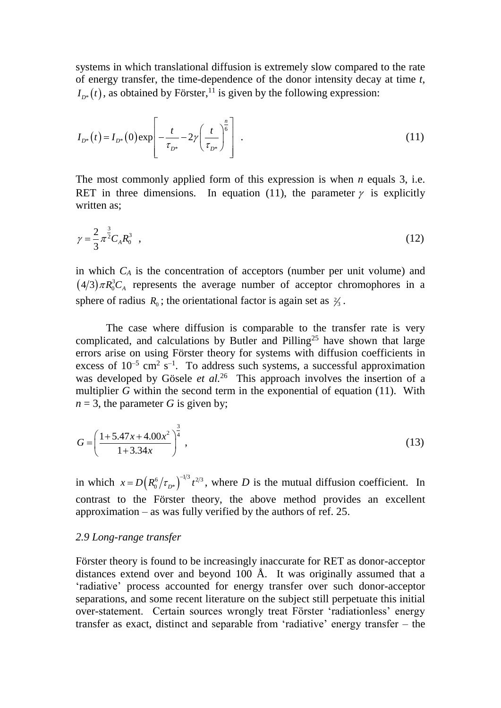systems in which translational diffusion is extremely slow compared to the rate of energy transfer, the time-dependence of the donor intensity decay at time *t*,  $I_{D^*}(t)$ , as obtained by Förster,<sup>11</sup> is given by the following expression:

$$
I_{D^*}(t) = I_{D^*}(0) \exp\left[-\frac{t}{\tau_{D^*}} - 2\gamma \left(\frac{t}{\tau_{D^*}}\right)^{\frac{n}{6}}\right] \tag{11}
$$

The most commonly applied form of this expression is when *n* equals 3, i.e. RET in three dimensions. In equation (11), the parameter  $\gamma$  is explicitly written as:

$$
\gamma = \frac{2}{3} \pi^{\frac{3}{2}} C_A R_0^3 \quad , \tag{12}
$$

in which *C<sup>A</sup>* is the concentration of acceptors (number per unit volume) and  $(4/3) \pi R_0^3 C_A$  represents the average number of acceptor chromophores in a sphere of radius  $R_0$ ; the orientational factor is again set as  $\frac{2}{3}$ .

The case where diffusion is comparable to the transfer rate is very complicated, and calculations by Butler and Pilling<sup>25</sup> have shown that large errors arise on using Förster theory for systems with diffusion coefficients in excess of  $10^{-5}$  cm<sup>2</sup> s<sup>-1</sup>. To address such systems, a successful approximation was developed by Gösele *et al.*<sup>26</sup> This approach involves the insertion of a multiplier *G* within the second term in the exponential of equation (11). With  $n = 3$ , the parameter *G* is given by;

$$
G = \left(\frac{1 + 5.47x + 4.00x^2}{1 + 3.34x}\right)^{\frac{3}{4}},
$$
\n(13)

in which  $x = D(R_0^6 / \tau_{D^*})^{-1/3} t^{2/3}$  $x = D(R_0^6 / \tau_{D^*})^{-1/3} t^{2/3}$ , where *D* is the mutual diffusion coefficient. In contrast to the Förster theory, the above method provides an excellent approximation – as was fully verified by the authors of ref. 25.

#### *2.9 Long-range transfer*

Förster theory is found to be increasingly inaccurate for RET as donor-acceptor distances extend over and beyond 100 Å. It was originally assumed that a 'radiative' process accounted for energy transfer over such donor-acceptor separations, and some recent literature on the subject still perpetuate this initial over-statement. Certain sources wrongly treat Förster 'radiationless' energy transfer as exact, distinct and separable from 'radiative' energy transfer – the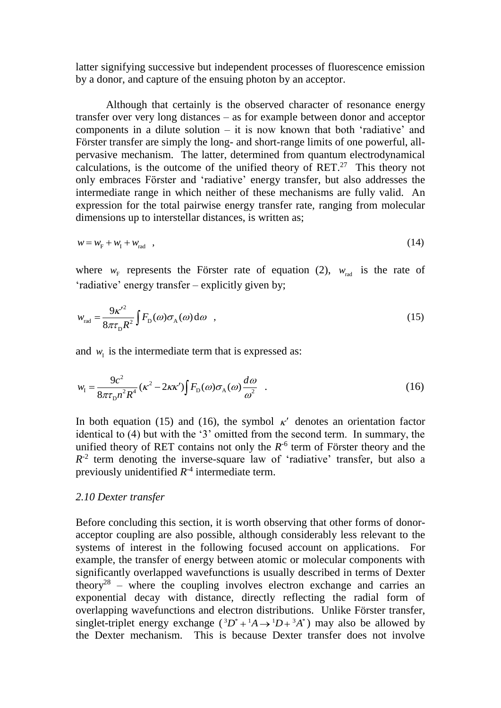latter signifying successive but independent processes of fluorescence emission by a donor, and capture of the ensuing photon by an acceptor.

Although that certainly is the observed character of resonance energy transfer over very long distances – as for example between donor and acceptor components in a dilute solution  $-$  it is now known that both 'radiative' and Förster transfer are simply the long- and short-range limits of one powerful, allpervasive mechanism. The latter, determined from quantum electrodynamical calculations, is the outcome of the unified theory of  $RET<sup>27</sup>$ . This theory not only embraces Förster and 'radiative' energy transfer, but also addresses the intermediate range in which neither of these mechanisms are fully valid. An expression for the total pairwise energy transfer rate, ranging from molecular dimensions up to interstellar distances, is written as;

$$
w = w_{\rm F} + w_{\rm I} + w_{\rm rad} \quad , \tag{14}
$$

where  $w_F$  represents the Förster rate of equation (2),  $w_{rad}$  is the rate of 'radiative' energy transfer – explicitly given by;

$$
w_{\text{rad}} = \frac{9\kappa'^2}{8\pi\tau_{\text{D}}R^2} \int F_{\text{D}}(\omega)\sigma_{\text{A}}(\omega)\,\text{d}\omega \quad , \tag{15}
$$

and  $w_{I}$  is the intermediate term that is expressed as:

$$
w_{\rm I} = \frac{9c^2}{8\pi\tau_{\rm D}n^2R^4} (\kappa^2 - 2\kappa\kappa') \int F_{\rm D}(\omega)\sigma_{\rm A}(\omega)\frac{d\omega}{\omega^2} \quad . \tag{16}
$$

In both equation (15) and (16), the symbol  $\kappa'$  denotes an orientation factor identical to (4) but with the '3' omitted from the second term. In summary, the unified theory of RET contains not only the  $R^{-6}$  term of Förster theory and the  $R<sup>-2</sup>$  term denoting the inverse-square law of 'radiative' transfer, but also a previously unidentified  $R^{-4}$  intermediate term.

#### *2.10 Dexter transfer*

Before concluding this section, it is worth observing that other forms of donoracceptor coupling are also possible, although considerably less relevant to the systems of interest in the following focused account on applications. For example, the transfer of energy between atomic or molecular components with significantly overlapped wavefunctions is usually described in terms of Dexter theory<sup>28</sup> – where the coupling involves electron exchange and carries an exponential decay with distance, directly reflecting the radial form of overlapping wavefunctions and electron distributions. Unlike Förster transfer, singlet-triplet energy exchange  $({}^3D^* + {}^1A \rightarrow {}^1D + {}^3A^*)$  may also be allowed by the Dexter mechanism. This is because Dexter transfer does not involve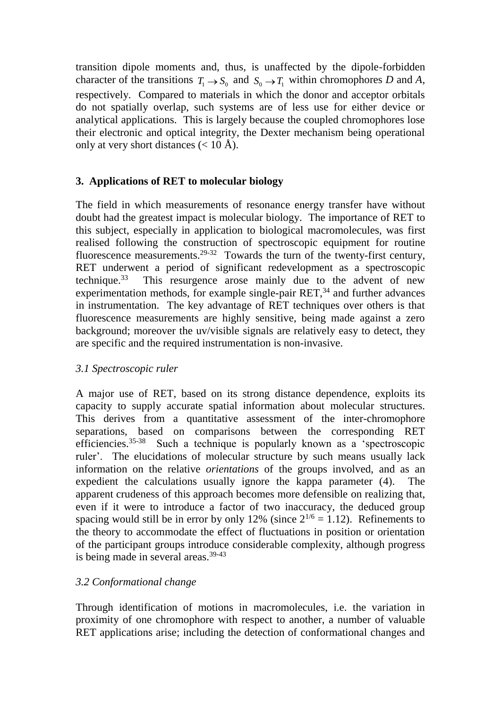transition dipole moments and, thus, is unaffected by the dipole-forbidden character of the transitions  $T_1 \rightarrow S_0$  and  $S_0 \rightarrow T_1$  within chromophores *D* and *A*, respectively. Compared to materials in which the donor and acceptor orbitals do not spatially overlap, such systems are of less use for either device or analytical applications. This is largely because the coupled chromophores lose their electronic and optical integrity, the Dexter mechanism being operational only at very short distances  $(< 10 \text{ Å})$ .

# **3. Applications of RET to molecular biology**

The field in which measurements of resonance energy transfer have without doubt had the greatest impact is molecular biology. The importance of RET to this subject, especially in application to biological macromolecules, was first realised following the construction of spectroscopic equipment for routine fluorescence measurements.<sup>29-32</sup> Towards the turn of the twenty-first century, RET underwent a period of significant redevelopment as a spectroscopic technique. $33$ This resurgence arose mainly due to the advent of new experimentation methods, for example single-pair  $RET<sub>34</sub>$  and further advances in instrumentation. The key advantage of RET techniques over others is that fluorescence measurements are highly sensitive, being made against a zero background; moreover the uv/visible signals are relatively easy to detect, they are specific and the required instrumentation is non-invasive.

### *3.1 Spectroscopic ruler*

A major use of RET, based on its strong distance dependence, exploits its capacity to supply accurate spatial information about molecular structures. This derives from a quantitative assessment of the inter-chromophore separations, based on comparisons between the corresponding RET efficiencies. 35-38 Such a technique is popularly known as a 'spectroscopic ruler'. The elucidations of molecular structure by such means usually lack information on the relative *orientations* of the groups involved, and as an expedient the calculations usually ignore the kappa parameter (4). The apparent crudeness of this approach becomes more defensible on realizing that, even if it were to introduce a factor of two inaccuracy, the deduced group spacing would still be in error by only 12% (since  $2^{1/6} = 1.12$ ). Refinements to the theory to accommodate the effect of fluctuations in position or orientation of the participant groups introduce considerable complexity, although progress is being made in several areas.<sup>39-43</sup>

### *3.2 Conformational change*

Through identification of motions in macromolecules, i.e. the variation in proximity of one chromophore with respect to another, a number of valuable RET applications arise; including the detection of conformational changes and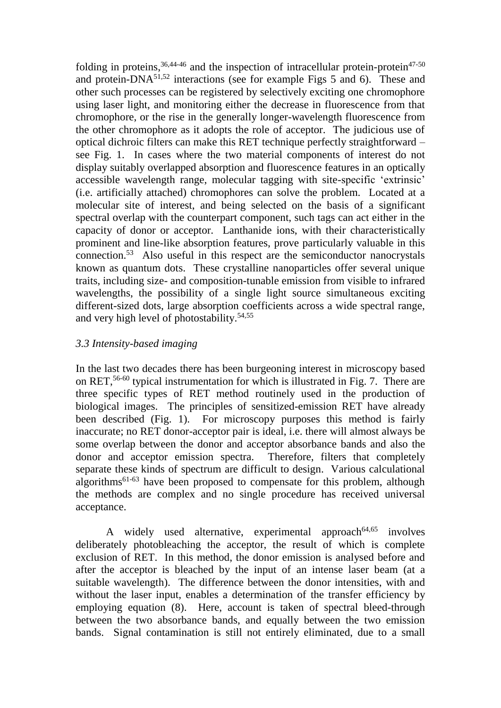folding in proteins,  $36,44-46$  and the inspection of intracellular protein-protein $47-50$ and protein- $DNA^{51,52}$  interactions (see for example Figs 5 and 6). These and other such processes can be registered by selectively exciting one chromophore using laser light, and monitoring either the decrease in fluorescence from that chromophore, or the rise in the generally longer-wavelength fluorescence from the other chromophore as it adopts the role of acceptor. The judicious use of optical dichroic filters can make this RET technique perfectly straightforward – see Fig. 1. In cases where the two material components of interest do not display suitably overlapped absorption and fluorescence features in an optically accessible wavelength range, molecular tagging with site-specific 'extrinsic' (i.e. artificially attached) chromophores can solve the problem. Located at a molecular site of interest, and being selected on the basis of a significant spectral overlap with the counterpart component, such tags can act either in the capacity of donor or acceptor. Lanthanide ions, with their characteristically prominent and line-like absorption features, prove particularly valuable in this connection.<sup>53</sup> Also useful in this respect are the semiconductor nanocrystals known as quantum dots. These crystalline nanoparticles offer several unique traits, including size- and composition-tunable emission from visible to infrared wavelengths, the possibility of a single light source simultaneous exciting different-sized dots, large absorption coefficients across a wide spectral range, and very high level of photostability.<sup>54,55</sup>

# *3.3 Intensity-based imaging*

In the last two decades there has been burgeoning interest in microscopy based on RET, 56-60 typical instrumentation for which is illustrated in Fig. 7. There are three specific types of RET method routinely used in the production of biological images. The principles of sensitized-emission RET have already been described (Fig. 1). For microscopy purposes this method is fairly inaccurate; no RET donor-acceptor pair is ideal, i.e. there will almost always be some overlap between the donor and acceptor absorbance bands and also the donor and acceptor emission spectra. Therefore, filters that completely separate these kinds of spectrum are difficult to design. Various calculational algorithms61-63 have been proposed to compensate for this problem, although the methods are complex and no single procedure has received universal acceptance.

A widely used alternative, experimental approach $64,65$ involves deliberately photobleaching the acceptor, the result of which is complete exclusion of RET. In this method, the donor emission is analysed before and after the acceptor is bleached by the input of an intense laser beam (at a suitable wavelength). The difference between the donor intensities, with and without the laser input, enables a determination of the transfer efficiency by employing equation (8). Here, account is taken of spectral bleed-through between the two absorbance bands, and equally between the two emission bands. Signal contamination is still not entirely eliminated, due to a small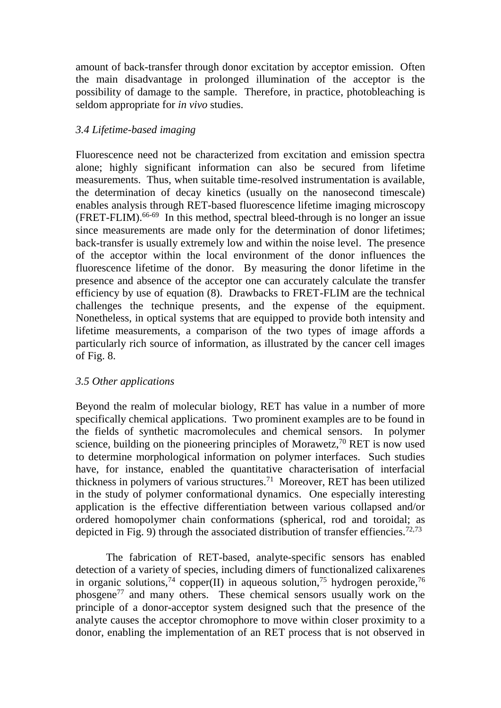amount of back-transfer through donor excitation by acceptor emission. Often the main disadvantage in prolonged illumination of the acceptor is the possibility of damage to the sample. Therefore, in practice, photobleaching is seldom appropriate for *in vivo* studies.

# *3.4 Lifetime-based imaging*

Fluorescence need not be characterized from excitation and emission spectra alone; highly significant information can also be secured from lifetime measurements. Thus, when suitable time-resolved instrumentation is available, the determination of decay kinetics (usually on the nanosecond timescale) enables analysis through RET-based fluorescence lifetime imaging microscopy (FRET-FLIM).66-69 In this method, spectral bleed-through is no longer an issue since measurements are made only for the determination of donor lifetimes; back-transfer is usually extremely low and within the noise level. The presence of the acceptor within the local environment of the donor influences the fluorescence lifetime of the donor. By measuring the donor lifetime in the presence and absence of the acceptor one can accurately calculate the transfer efficiency by use of equation (8). Drawbacks to FRET-FLIM are the technical challenges the technique presents, and the expense of the equipment. Nonetheless, in optical systems that are equipped to provide both intensity and lifetime measurements, a comparison of the two types of image affords a particularly rich source of information, as illustrated by the cancer cell images of Fig. 8.

### *3.5 Other applications*

Beyond the realm of molecular biology, RET has value in a number of more specifically chemical applications. Two prominent examples are to be found in the fields of synthetic macromolecules and chemical sensors. In polymer science, building on the pioneering principles of Morawetz,<sup>70</sup> RET is now used to determine morphological information on polymer interfaces. Such studies have, for instance, enabled the quantitative characterisation of interfacial thickness in polymers of various structures.<sup>71</sup> Moreover, RET has been utilized in the study of polymer conformational dynamics. One especially interesting application is the effective differentiation between various collapsed and/or ordered homopolymer chain conformations (spherical, rod and toroidal; as depicted in Fig. 9) through the associated distribution of transfer effiencies.<sup>72,73</sup>

The fabrication of RET-based, analyte-specific sensors has enabled detection of a variety of species, including dimers of functionalized calixarenes in organic solutions,<sup>74</sup> copper(II) in aqueous solution,<sup>75</sup> hydrogen peroxide,<sup>76</sup> phosgene<sup>77</sup> and many others. These chemical sensors usually work on the principle of a donor-acceptor system designed such that the presence of the analyte causes the acceptor chromophore to move within closer proximity to a donor, enabling the implementation of an RET process that is not observed in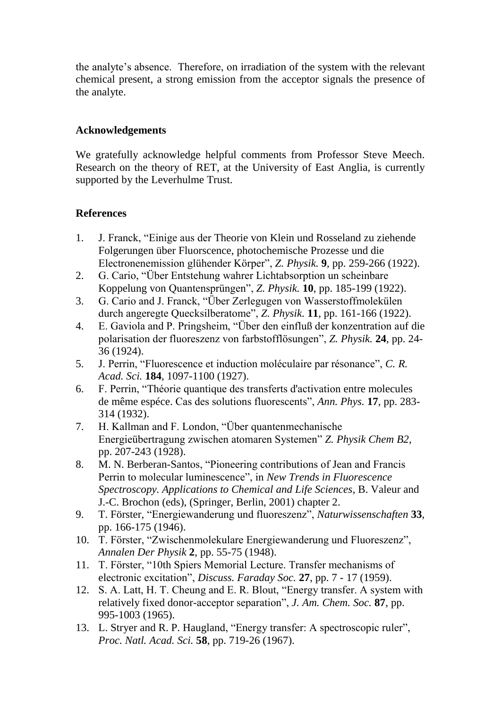the analyte's absence. Therefore, on irradiation of the system with the relevant chemical present, a strong emission from the acceptor signals the presence of the analyte.

# **Acknowledgements**

We gratefully acknowledge helpful comments from Professor Steve Meech. Research on the theory of RET, at the University of East Anglia, is currently supported by the Leverhulme Trust.

# **References**

- 1. J. Franck, "Einige aus der Theorie von Klein und Rosseland zu ziehende Folgerungen über Fluorscence, photochemische Prozesse und die Electronenemission glühender Körper", *Z. Physik.* **9**, pp. 259-266 (1922).
- 2. G. Cario, "Über Entstehung wahrer Lichtabsorption un scheinbare Koppelung von Quantensprüngen", *Z. Physik.* **10**, pp. 185-199 (1922).
- 3. G. Cario and J. Franck, "Über Zerlegugen von Wasserstoffmolekülen durch angeregte Quecksilberatome", *Z. Physik.* **11**, pp. 161-166 (1922).
- 4. E. Gaviola and P. Pringsheim, "Über den einfluß der konzentration auf die polarisation der fluoreszenz von farbstofflösungen", *Z. Physik.* **24**, pp. 24- 36 (1924).
- 5. J. Perrin, "Fluorescence et induction moléculaire par résonance", *C. R. Acad. Sci.* **184**, 1097-1100 (1927).
- 6. F. Perrin, "Théorie quantique des transferts d'activation entre molecules de même espéce. Cas des solutions fluorescents", *Ann. Phys.* **17**, pp. 283- 314 (1932).
- 7. H. Kallman and F. London, "Über quantenmechanische Energieübertragung zwischen atomaren Systemen" *Z. Physik Chem B2*, pp. 207-243 (1928).
- 8. M. N. Berberan-Santos, "Pioneering contributions of Jean and Francis Perrin to molecular luminescence", in *New Trends in Fluorescence Spectroscopy. Applications to Chemical and Life Sciences*, B. Valeur and J.-C. Brochon (eds), (Springer, Berlin, 2001) chapter 2.
- 9. T. Förster, "Energiewanderung und fluoreszenz", *Naturwissenschaften* **33**, pp. 166-175 (1946).
- 10. T. Förster, "Zwischenmolekulare Energiewanderung und Fluoreszenz", *Annalen Der Physik* **2**, pp. 55-75 (1948).
- 11. T. Förster, "10th Spiers Memorial Lecture. Transfer mechanisms of electronic excitation", *Discuss. Faraday Soc.* **27**, pp. 7 - 17 (1959).
- 12. S. A. Latt, H. T. Cheung and E. R. Blout, "Energy transfer. A system with relatively fixed donor-acceptor separation", *J. Am. Chem. Soc.* **87**, pp. 995-1003 (1965).
- 13. L. Stryer and R. P. Haugland, "Energy transfer: A spectroscopic ruler", *Proc. Natl. Acad. Sci.* **58**, pp. 719-26 (1967).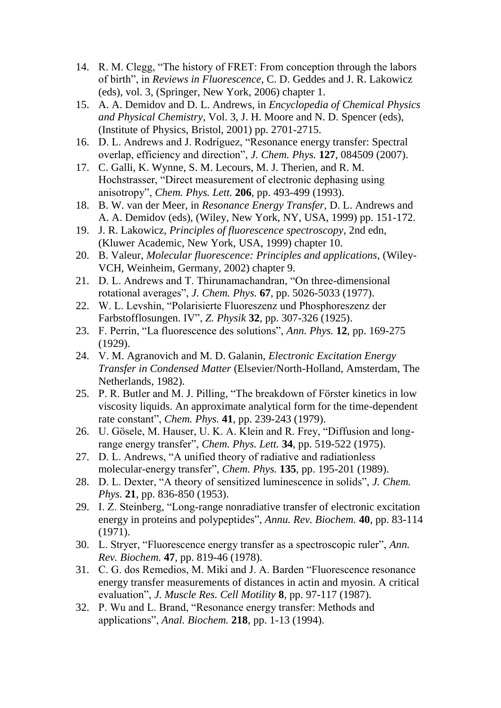- 14. R. M. Clegg, "The history of FRET: From conception through the labors of birth", in *Reviews in Fluorescence*, C. D. Geddes and J. R. Lakowicz (eds), vol. 3, (Springer, New York, 2006) chapter 1.
- 15. A. A. Demidov and D. L. Andrews, in *Encyclopedia of Chemical Physics and Physical Chemistry*, Vol. 3, J. H. Moore and N. D. Spencer (eds), (Institute of Physics, Bristol, 2001) pp. 2701-2715.
- 16. D. L. Andrews and J. Rodríguez, "Resonance energy transfer: Spectral overlap, efficiency and direction", *J. Chem. Phys.* **127**, 084509 (2007).
- 17. C. Galli, K. Wynne, S. M. Lecours, M. J. Therien, and R. M. Hochstrasser, "Direct measurement of electronic dephasing using anisotropy", *Chem. Phys. Lett.* **206**, pp. 493-499 (1993).
- 18. B. W. van der Meer, in *Resonance Energy Transfer*, D. L. Andrews and A. A. Demidov (eds), (Wiley, New York, NY, USA, 1999) pp. 151-172.
- 19. J. R. Lakowicz, *Principles of fluorescence spectroscopy*, 2nd edn, (Kluwer Academic, New York, USA, 1999) chapter 10.
- 20. B. Valeur, *Molecular fluorescence: Principles and applications*, (Wiley-VCH, Weinheim, Germany, 2002) chapter 9.
- 21. D. L. Andrews and T. Thirunamachandran, "On three-dimensional rotational averages", *J. Chem. Phys.* **67**, pp. 5026-5033 (1977).
- 22. W. L. Levshin, "Polarisierte Fluoreszenz und Phosphoreszenz der Farbstofflosungen. IV", *Z. Physik* **32**, pp. 307-326 (1925).
- 23. F. Perrin, "La fluorescence des solutions", *Ann. Phys.* **12**, pp. 169-275 (1929).
- 24. V. M. Agranovich and M. D. Galanin, *Electronic Excitation Energy Transfer in Condensed Matter* (Elsevier/North-Holland, Amsterdam, The Netherlands, 1982).
- 25. P. R. Butler and M. J. Pilling, "The breakdown of Förster kinetics in low viscosity liquids. An approximate analytical form for the time-dependent rate constant", *Chem. Phys.* **41**, pp. 239-243 (1979).
- 26. U. Gösele, M. Hauser, U. K. A. Klein and R. Frey, "Diffusion and longrange energy transfer", *Chem. Phys. Lett.* **34**, pp. 519-522 (1975).
- 27. D. L. Andrews, "A unified theory of radiative and radiationless molecular-energy transfer", *Chem. Phys.* **135**, pp. 195-201 (1989).
- 28. D. L. Dexter, "A theory of sensitized luminescence in solids", *J. Chem. Phys.* **21**, pp. 836-850 (1953).
- 29. I. Z. Steinberg, "Long-range nonradiative transfer of electronic excitation energy in proteins and polypeptides", *Annu. Rev. Biochem.* **40**, pp. 83-114 (1971).
- 30. L. Stryer, "Fluorescence energy transfer as a spectroscopic ruler", *Ann. Rev. Biochem.* **47**, pp. 819-46 (1978).
- 31. C. G. dos Remedios, M. Miki and J. A. Barden "Fluorescence resonance energy transfer measurements of distances in actin and myosin. A critical evaluation", *J. Muscle Res. Cell Motility* **8**, pp. 97-117 (1987).
- 32. P. Wu and L. Brand, "Resonance energy transfer: Methods and applications", *Anal. Biochem.* **218**, pp. 1-13 (1994).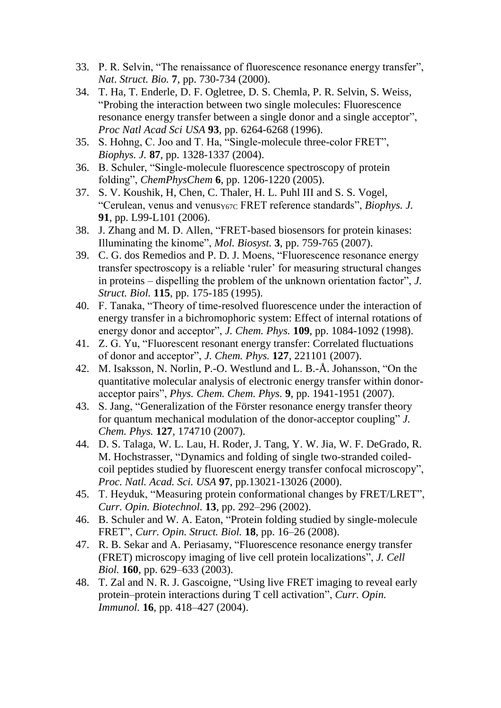- 33. P. R. Selvin, "The renaissance of fluorescence resonance energy transfer", *Nat*. *Struct. Bio.* **7**, pp. 730-734 (2000).
- 34. T. Ha, T. Enderle, D. F. Ogletree, D. S. Chemla, P. R. Selvin, S. Weiss, "Probing the interaction between two single molecules: Fluorescence resonance energy transfer between a single donor and a single acceptor", *Proc Natl Acad Sci USA* **93**, pp. 6264-6268 (1996).
- 35. S. Hohng, C. Joo and T. Ha, "Single-molecule three-color FRET", *Biophys. J.* **87**, pp. 1328-1337 (2004).
- 36. B. Schuler, "Single-molecule fluorescence spectroscopy of protein folding", *ChemPhysChem* **6**, pp. 1206-1220 (2005).
- 37. S. V. Koushik, H, Chen, C. Thaler, H. L. Puhl III and S. S. Vogel, "Cerulean, venus and venus<sub>Y67C</sub> FRET reference standards", *Biophys. J.* **91**, pp. L99-L101 (2006).
- 38. J. Zhang and M. D. Allen, "FRET-based biosensors for protein kinases: Illuminating the kinome", *Mol. Biosyst.* **3**, pp. 759-765 (2007).
- 39. C. G. dos Remedios and P. D. J. Moens, "Fluorescence resonance energy transfer spectroscopy is a reliable 'ruler' for measuring structural changes in proteins – dispelling the problem of the unknown orientation factor", *J. Struct. Biol.* **115**, pp. 175-185 (1995).
- 40. F. Tanaka, "Theory of time-resolved fluorescence under the interaction of energy transfer in a bichromophoric system: Effect of internal rotations of energy donor and acceptor", *J. Chem. Phys.* **109**, pp. 1084-1092 (1998).
- 41. Z. G. Yu, "Fluorescent resonant energy transfer: Correlated fluctuations of donor and acceptor", *J. Chem. Phys.* **127**, 221101 (2007).
- 42. M. Isaksson, N. Norlin, P.-O. Westlund and L. B.-Å. Johansson, "On the quantitative molecular analysis of electronic energy transfer within donoracceptor pairs", *Phys. Chem. Chem. Phys.* **9**, pp. 1941-1951 (2007).
- 43. S. Jang, "Generalization of the Förster resonance energy transfer theory for quantum mechanical modulation of the donor-acceptor coupling" *J. Chem. Phys.* **127**, 174710 (2007).
- 44. D. S. Talaga, W. L. Lau, H. Roder, J. Tang, Y. W. Jia, W. F. DeGrado, R. M. Hochstrasser, "Dynamics and folding of single two-stranded coiledcoil peptides studied by fluorescent energy transfer confocal microscopy", *Proc. Natl. Acad. Sci. USA* **97**, pp.13021-13026 (2000).
- 45. T. Heyduk, "Measuring protein conformational changes by FRET/LRET", *Curr. Opin. Biotechnol.* **13**, pp. 292–296 (2002).
- 46. B. Schuler and W. A. Eaton, "Protein folding studied by single-molecule FRET", *Curr. Opin. Struct. Biol.* **18**, pp. 16–26 (2008).
- 47. R. B. Sekar and A. Periasamy, "Fluorescence resonance energy transfer (FRET) microscopy imaging of live cell protein localizations", *J. Cell Biol.* **160**, pp. 629–633 (2003).
- 48. T. Zal and N. R. J. Gascoigne, "Using live FRET imaging to reveal early protein–protein interactions during T cell activation", *Curr. Opin. Immunol.* **16**, pp. 418–427 (2004).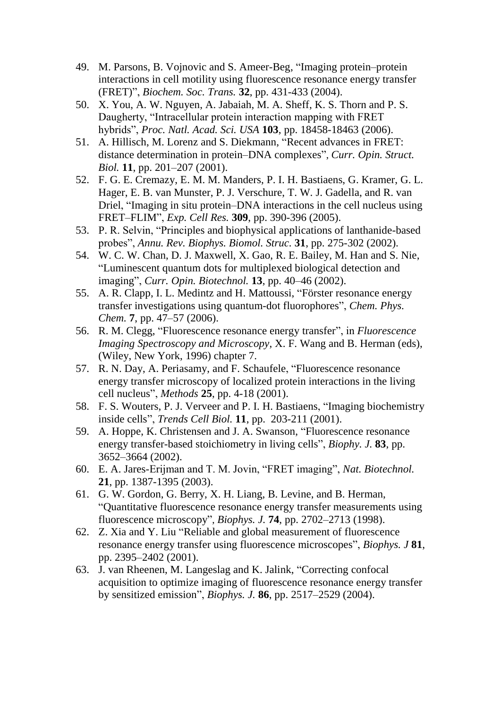- 49. M. Parsons, B. Vojnovic and S. Ameer-Beg, "Imaging protein–protein interactions in cell motility using fluorescence resonance energy transfer (FRET)", *Biochem. Soc. Trans.* **32**, pp. 431-433 (2004).
- 50. X. You, A. W. Nguyen, A. Jabaiah, M. A. Sheff, K. S. Thorn and P. S. Daugherty, "Intracellular protein interaction mapping with FRET hybrids", *Proc. Natl. Acad. Sci. USA* **103**, pp. 18458-18463 (2006).
- 51. A. Hillisch, M. Lorenz and S. Diekmann, "Recent advances in FRET: distance determination in protein–DNA complexes", *Curr. Opin. Struct. Biol.* **11**, pp. 201–207 (2001).
- 52. F. G. E. Cremazy, E. M. M. Manders, P. I. H. Bastiaens, G. Kramer, G. L. Hager, E. B. van Munster, P. J. Verschure, T. W. J. Gadella, and R. van Driel, "Imaging in situ protein–DNA interactions in the cell nucleus using FRET–FLIM", *Exp. Cell Res.* **309**, pp. 390-396 (2005).
- 53. P. R. Selvin, "Principles and biophysical applications of lanthanide-based probes", *Annu. Rev. Biophys. Biomol. Struc.* **31**, pp. 275-302 (2002).
- 54. W. C. W. Chan, D. J. Maxwell, X. Gao, R. E. Bailey, M. Han and S. Nie, "Luminescent quantum dots for multiplexed biological detection and imaging", *Curr. Opin. Biotechnol.* **13**, pp. 40–46 (2002).
- 55. A. R. Clapp, I. L. Medintz and H. Mattoussi, "Förster resonance energy transfer investigations using quantum-dot fluorophores", *Chem. Phys. Chem.* **7**, pp. 47–57 (2006).
- 56. R. M. Clegg, "Fluorescence resonance energy transfer", in *Fluorescence Imaging Spectroscopy and Microscopy*, X. F. Wang and B. Herman (eds), (Wiley, New York, 1996) chapter 7.
- 57. R. N. Day, A. Periasamy, and F. Schaufele, "Fluorescence resonance energy transfer microscopy of localized protein interactions in the living cell nucleus", *Methods* **25**, pp. 4-18 (2001).
- 58. F. S. Wouters, P. J. Verveer and P. I. H. Bastiaens, "Imaging biochemistry inside cells", *Trends Cell Biol.* **11**, pp. 203-211 (2001).
- 59. A. Hoppe, K. Christensen and J. A. Swanson, "Fluorescence resonance energy transfer-based stoichiometry in living cells", *Biophy. J.* **83**, pp. 3652–3664 (2002).
- 60. E. A. Jares-Erijman and T. M. Jovin, "FRET imaging", *Nat. Biotechnol.* **21**, pp. 1387-1395 (2003).
- 61. G. W. Gordon, G. Berry, X. H. Liang, B. Levine, and B. Herman, "Quantitative fluorescence resonance energy transfer measurements using fluorescence microscopy", *Biophys. J.* **74**, pp. 2702–2713 (1998).
- 62. Z. Xia and Y. Liu "Reliable and global measurement of fluorescence resonance energy transfer using fluorescence microscopes", *Biophys. J* **81**, pp. 2395–2402 (2001).
- 63. J. van Rheenen, M. Langeslag and K. Jalink, "Correcting confocal acquisition to optimize imaging of fluorescence resonance energy transfer by sensitized emission", *Biophys. J.* **86**, pp. 2517–2529 (2004).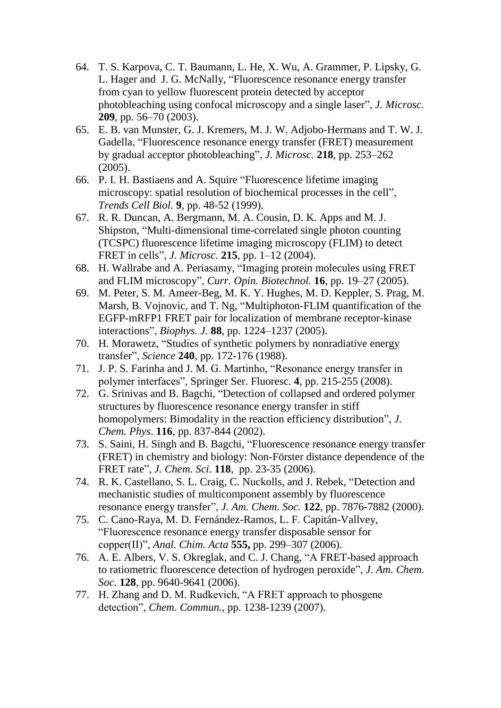- 64. T. S. Karpova, C. T. Baumann, L. He, X. Wu, A. Grammer, P. Lipsky, G. L. Hager and J. G. McNally, "Fluorescence resonance energy transfer from cyan to yellow fluorescent protein detected by acceptor photobleaching using confocal microscopy and a single laser", *J. Microsc.* **209**, pp. 56–70 (2003).
- 65. E. B. van Munster, G. J. Kremers, M. J. W. Adjobo-Hermans and T. W. J. Gadella, "Fluorescence resonance energy transfer (FRET) measurement by gradual acceptor photobleaching", *J. Microsc.* **218**, pp. 253–262 (2005).
- 66. P. I. H. Bastiaens and A. Squire "Fluorescence lifetime imaging microscopy: spatial resolution of biochemical processes in the cell", *Trends Cell Biol.* **9**, pp. 48-52 (1999).
- 67. R. R. Duncan, A. Bergmann, M. A. Cousin, D. K. Apps and M. J. Shipston, "Multi-dimensional time-correlated single photon counting (TCSPC) fluorescence lifetime imaging microscopy (FLIM) to detect FRET in cells", *J. Microsc.* **215**, pp. 1–12 (2004).
- 68. H. Wallrabe and A. Periasamy, "Imaging protein molecules using FRET and FLIM microscopy", *Curr. Opin. Biotechnol.* **16**, pp. 19–27 (2005).
- 69. M. Peter, S. M. Ameer-Beg, M. K. Y. Hughes, M. D. Keppler, S. Prag, M. Marsh, B. Vojnovic, and T. Ng, "Multiphoton-FLIM quantification of the EGFP-mRFP1 FRET pair for localization of membrane receptor-kinase interactions", *Biophys. J.* **88**, pp. 1224–1237 (2005).
- 70. H. Morawetz, "Studies of synthetic polymers by nonradiative energy transfer", *Science* **240**, pp. 172-176 (1988).
- 71. J. P. S. Farinha and J. M. G. Martinho, "Resonance energy transfer in polymer interfaces", Springer Ser. Fluoresc. **4**, pp. 215-255 (2008).
- 72. G. Srinivas and B. Bagchi, "Detection of collapsed and ordered polymer structures by fluorescence resonance energy transfer in stiff homopolymers: Bimodality in the reaction efficiency distribution", *J. Chem. Phys*. **116**, pp. 837-844 (2002).
- 73. S. Saini, H. Singh and B. Bagchi, "Fluorescence resonance energy transfer (FRET) in chemistry and biology: Non-Förster distance dependence of the FRET rate", *J. Chem. Sci.* **118**, pp. 23-35 (2006).
- 74. R. K. Castellano, S. L. Craig, C. Nuckolls, and J. Rebek, "Detection and mechanistic studies of multicomponent assembly by fluorescence resonance energy transfer", *J. Am. Chem. Soc.* **122**, pp. 7876-7882 (2000).
- 75. C. Cano-Raya, M. D. Fernández-Ramos, L. F. Capitán-Vallvey, "Fluorescence resonance energy transfer disposable sensor for copper(II)", *Anal. Chim. Acta* **555,** pp. 299–307 (2006).
- 76. A. E. Albers, V. S. Okreglak, and C. J. Chang, "A FRET-based approach to ratiometric fluorescence detection of hydrogen peroxide", *J. Am. Chem. Soc.* **128**, pp. 9640-9641 (2006).
- 77. H. Zhang and D. M. Rudkevich, "A FRET approach to phosgene detection", *Chem. Commun.*, pp. 1238-1239 (2007).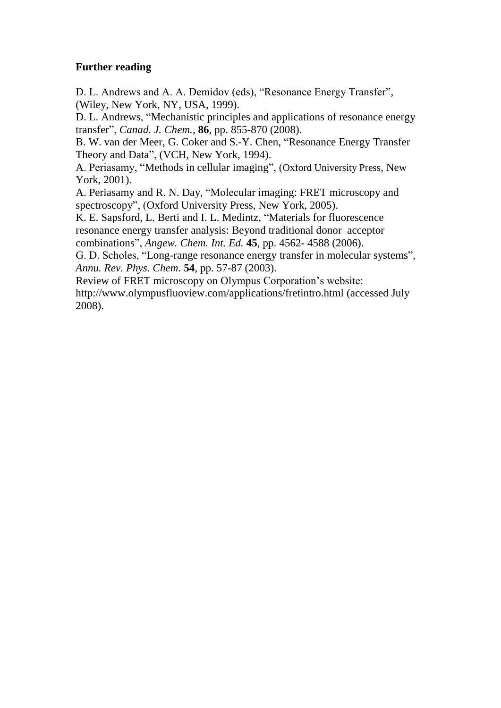### **Further reading**

D. L. Andrews and A. A. Demidov (eds), "Resonance Energy Transfer", (Wiley, New York, NY, USA, 1999).

D. L. Andrews, "Mechanistic principles and applications of resonance energy transfer", *Canad. J. Chem.*, **86**, pp. 855-870 (2008).

B. W. van der Meer, G. Coker and S.-Y. Chen, "Resonance Energy Transfer Theory and Data", (VCH, New York, 1994).

A. Periasamy, "Methods in cellular imaging", (Oxford University Press, New York, 2001).

A. Periasamy and R. N. Day, "Molecular imaging: FRET microscopy and spectroscopy", (Oxford University Press, New York, 2005).

K. E. Sapsford, L. Berti and I. L. Medintz, "Materials for fluorescence resonance energy transfer analysis: Beyond traditional donor–acceptor combinations", *Angew. Chem. Int. Ed.* **45**, pp. 4562- 4588 (2006).

G. D. Scholes, "Long-range resonance energy transfer in molecular systems", *Annu. Rev. Phys. Chem.* **54**, pp. 57-87 (2003).

Review of FRET microscopy on Olympus Corporation's website: http://www.olympusfluoview.com/applications/fretintro.html (accessed July 2008).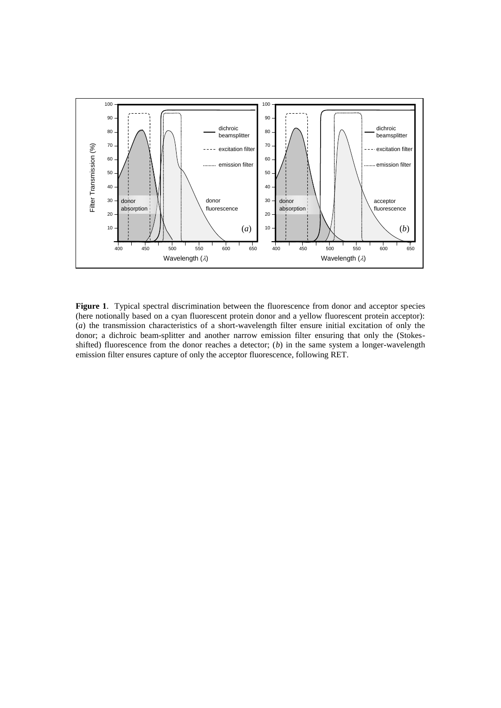

**Figure 1**. Typical spectral discrimination between the fluorescence from donor and acceptor species (here notionally based on a cyan fluorescent protein donor and a yellow fluorescent protein acceptor): (*a*) the transmission characteristics of a short-wavelength filter ensure initial excitation of only the donor; a dichroic beam-splitter and another narrow emission filter ensuring that only the (Stokesshifted) fluorescence from the donor reaches a detector; (*b*) in the same system a longer-wavelength emission filter ensures capture of only the acceptor fluorescence, following RET.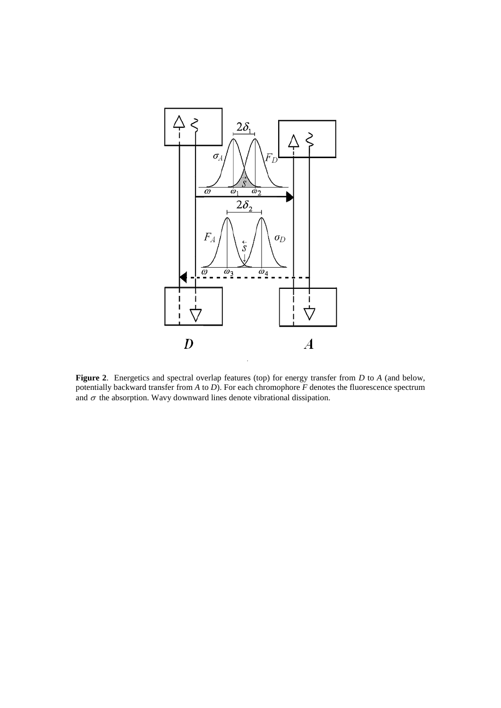

**Figure 2**. Energetics and spectral overlap features (top) for energy transfer from *D* to *A* (and below, potentially backward transfer from *A* to *D*). For each chromophore *F* denotes the fluorescence spectrum and  $\sigma$  the absorption. Wavy downward lines denote vibrational dissipation.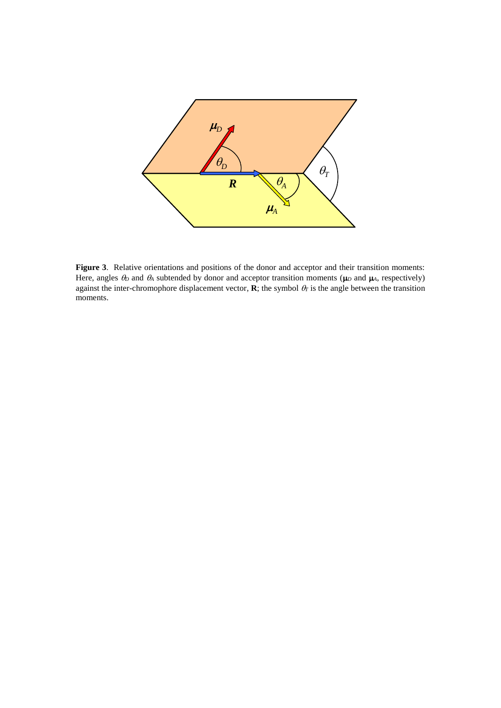

**Figure 3**. Relative orientations and positions of the donor and acceptor and their transition moments: Here, angles  $\theta_D$  and  $\theta_A$  subtended by donor and acceptor transition moments ( $\mu_D$  and  $\mu_A$ , respectively) against the inter-chromophore displacement vector, **R**; the symbol  $\theta_T$  is the angle between the transition moments.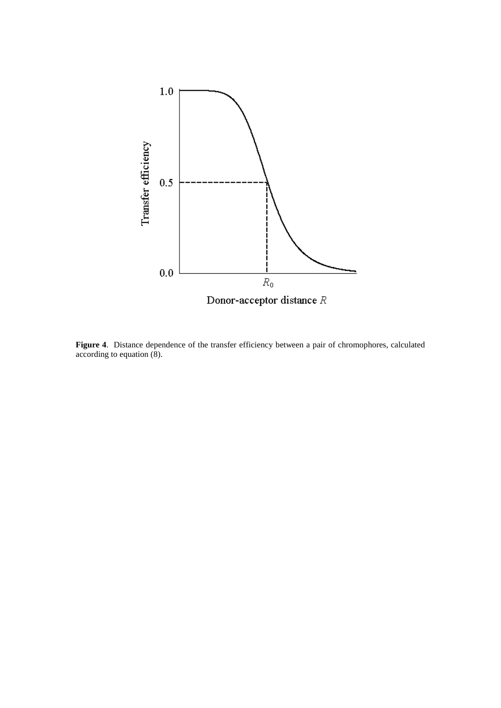

**Figure 4**. Distance dependence of the transfer efficiency between a pair of chromophores, calculated according to equation (8).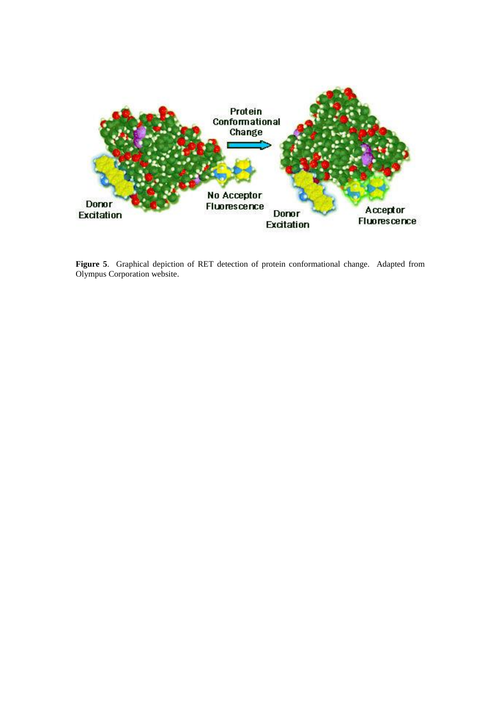

**Figure 5**. Graphical depiction of RET detection of protein conformational change. Adapted from Olympus Corporation website.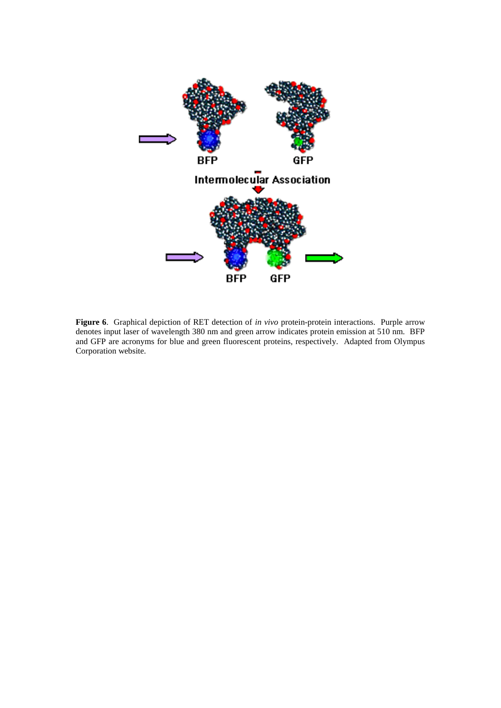

**Figure 6**. Graphical depiction of RET detection of *in vivo* protein-protein interactions. Purple arrow denotes input laser of wavelength 380 nm and green arrow indicates protein emission at 510 nm. BFP and GFP are acronyms for blue and green fluorescent proteins, respectively. Adapted from Olympus Corporation website.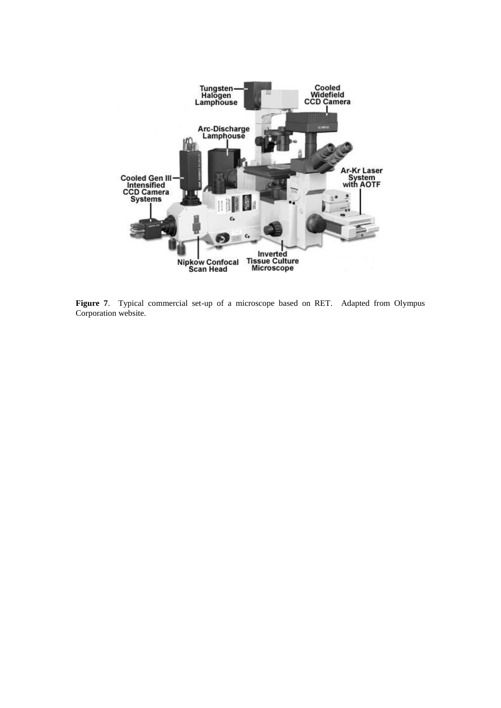

**Figure 7**. Typical commercial set-up of a microscope based on RET. Adapted from Olympus Corporation website.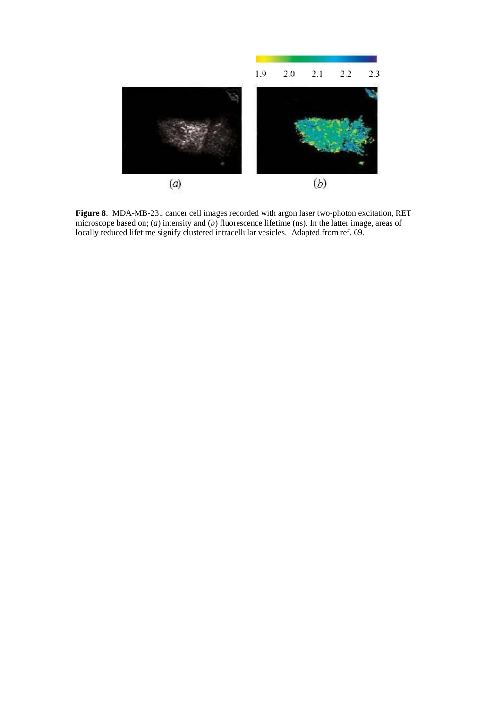

**Figure 8**. MDA-MB-231 cancer cell images recorded with argon laser two-photon excitation, RET microscope based on; (*a*) intensity and (*b*) fluorescence lifetime (ns). In the latter image, areas of locally reduced lifetime signify clustered intracellular vesicles. Adapted from ref. 69.